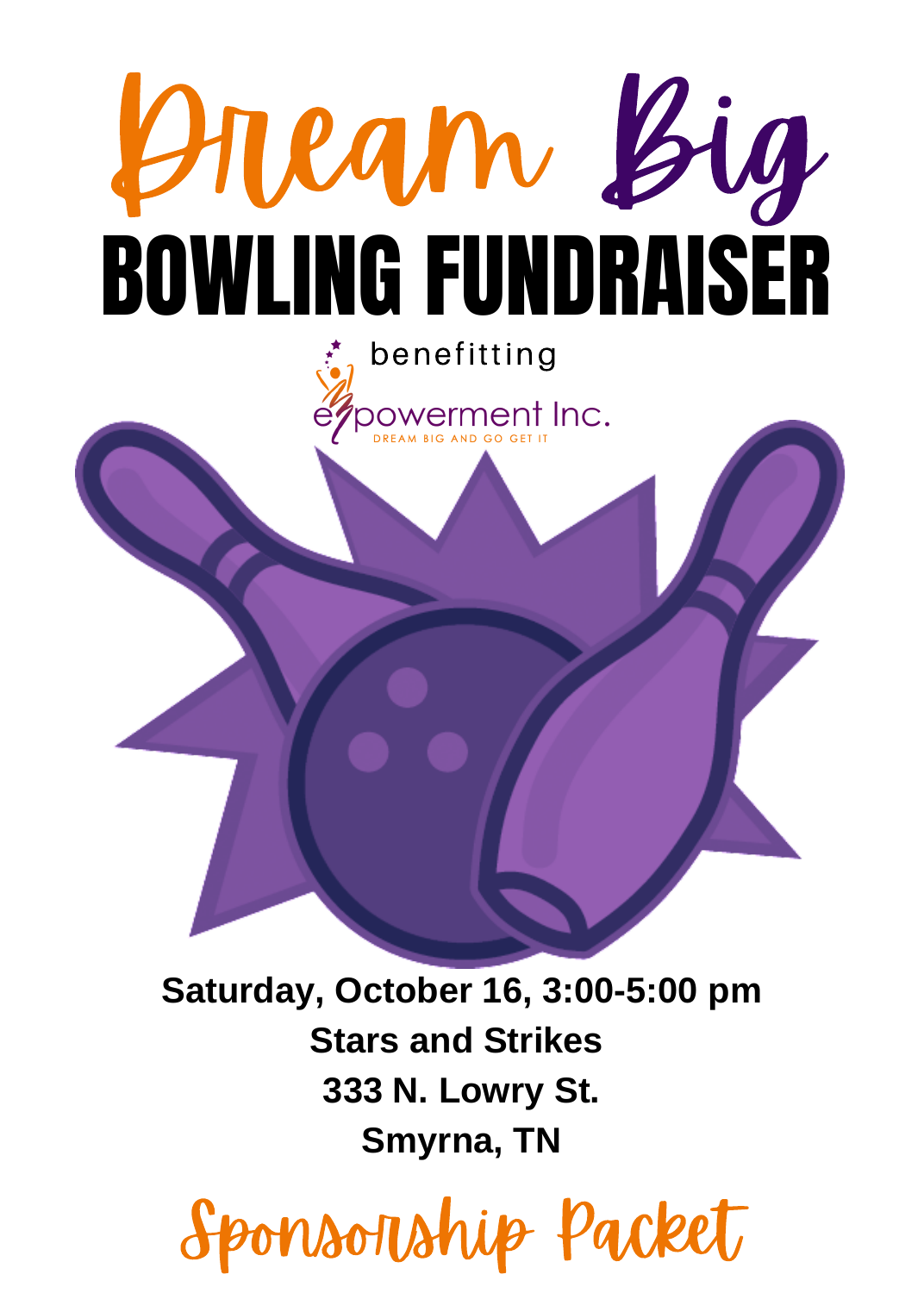

**Saturday, October 16, 3:00-5:00 pm Stars and Strikes 333 N. Lowry St. Smyrna, TN**

Sponsorship Packet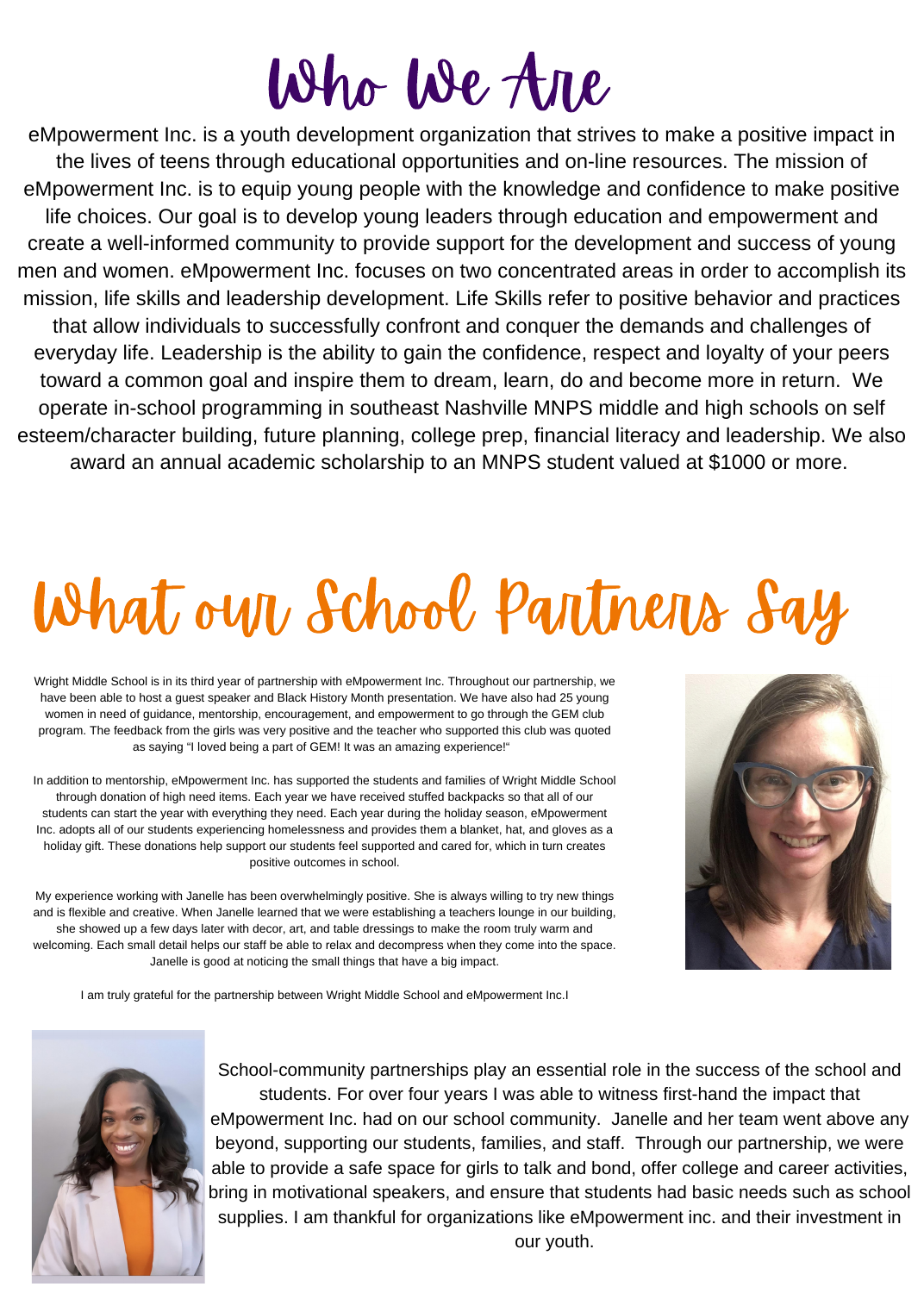# Who We Are

eMpowerment Inc. is a youth development organization that strives to make a positive impact in the lives of teens through educational opportunities and on-line resources. The mission of eMpowerment Inc. is to equip young people with the knowledge and confidence to make positive life choices. Our goal is to develop young leaders through education and empowerment and create a well-informed community to provide support for the development and success of young men and women. eMpowerment Inc. focuses on two concentrated areas in order to accomplish its mission, life skills and leadership development. Life Skills refer to positive behavior and practices that allow individuals to successfully confront and conquer the demands and challenges of everyday life. Leadership is the ability to gain the confidence, respect and loyalty of your peers toward a common goal and inspire them to dream, learn, do and become more in return. We operate in-school programming in southeast Nashville MNPS middle and high schools on self esteem/character building, future planning, college prep, financial literacy and leadership. We also award an annual academic scholarship to an MNPS student valued at \$1000 or more.

# What our School Partners Say

Wright Middle School is in its third year of partnership with eMpowerment Inc. Throughout our partnership, we have been able to host a guest speaker and Black History Month presentation. We have also had 25 young women in need of guidance, mentorship, encouragement, and empowerment to go through the GEM club program. The feedback from the girls was very positive and the teacher who supported this club was quoted as saying "I loved being a part of GEM! It was an amazing experience!"

In addition to mentorship, eMpowerment Inc. has supported the students and families of Wright Middle School through donation of high need items. Each year we have received stuffed backpacks so that all of our students can start the year with everything they need. Each year during the holiday season, eMpowerment Inc. adopts all of our students experiencing homelessness and provides them a blanket, hat, and gloves as a holiday gift. These donations help support our students feel supported and cared for, which in turn creates positive outcomes in school.

My experience working with Janelle has been overwhelmingly positive. She is always willing to try new things and is flexible and creative. When Janelle learned that we were establishing a teachers lounge in our building, she showed up a few days later with decor, art, and table dressings to make the room truly warm and welcoming. Each small detail helps our staff be able to relax and decompress when they come into the space. Janelle is good at noticing the small things that have a big impact.



I am truly grateful for the partnership between Wright Middle School and eMpowerment Inc.I



School-community partnerships play an essential role in the success of the school and students. For over four years I was able to witness first-hand the impact that eMpowerment Inc. had on our school community. Janelle and her team went above any beyond, supporting our students, families, and staff. Through our partnership, we were able to provide a safe space for girls to talk and bond, offer college and career activities, bring in motivational speakers, and ensure that students had basic needs such as school supplies. I am thankful for organizations like eMpowerment inc. and their investment in our youth.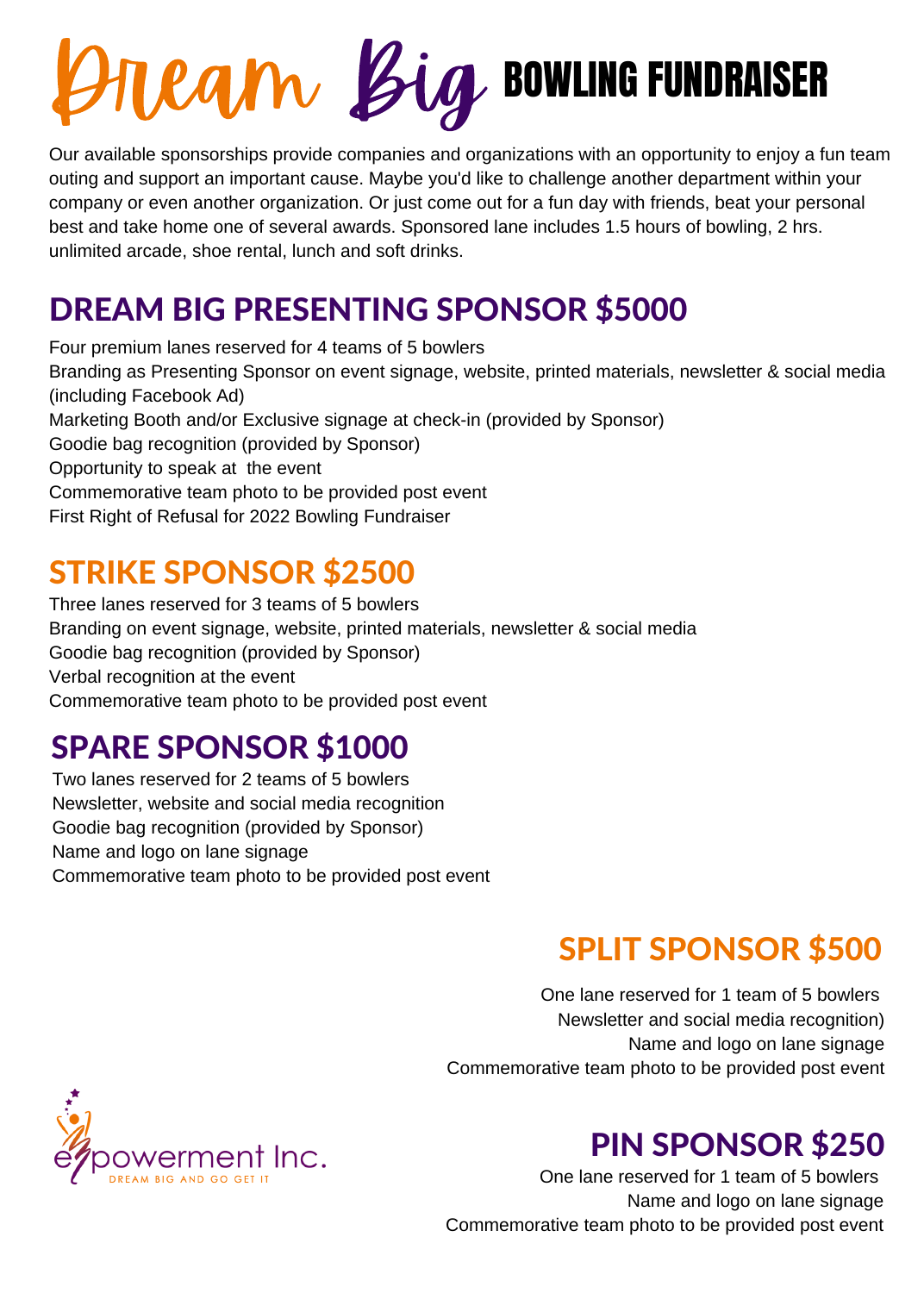# **Dream Big BOWLING FUNDRAISER**

Our available sponsorships provide companies and organizations with an opportunity to enjoy a fun team outing and support an important cause. Maybe you'd like to challenge another department within your company or even another organization. Or just come out for a fun day with friends, beat your personal best and take home one of several awards. Sponsored lane includes 1.5 hours of bowling, 2 hrs. unlimited arcade, shoe rental, lunch and soft drinks.

## DREAM BIG PRESENTING SPONSOR \$5000

Four premium lanes reserved for 4 teams of 5 bowlers Branding as Presenting Sponsor on event signage, website, printed materials, newsletter & social media (including Facebook Ad) Marketing Booth and/or Exclusive signage at check-in (provided by Sponsor) Goodie bag recognition (provided by Sponsor) Opportunity to speak at the event Commemorative team photo to be provided post event First Right of Refusal for 2022 Bowling Fundraiser

#### STRIKE SPONSOR \$2500

Three lanes reserved for 3 teams of 5 bowlers Branding on event signage, website, printed materials, newsletter & social media Goodie bag recognition (provided by Sponsor) Verbal recognition at the event Commemorative team photo to be provided post event

### SPARE SPONSOR \$1000

Two lanes reserved for 2 teams of 5 bowlers Newsletter, website and social media recognition Goodie bag recognition (provided by Sponsor) Name and logo on lane signage Commemorative team photo to be provided post event

## SPLIT SPONSOR \$500

One lane reserved for 1 team of 5 bowlers Newsletter and social media recognition) Name and logo on lane signage Commemorative team photo to be provided post event



#### PIN SPONSOR \$250

One lane reserved for 1 team of 5 bowlers Name and logo on lane signage Commemorative team photo to be provided post event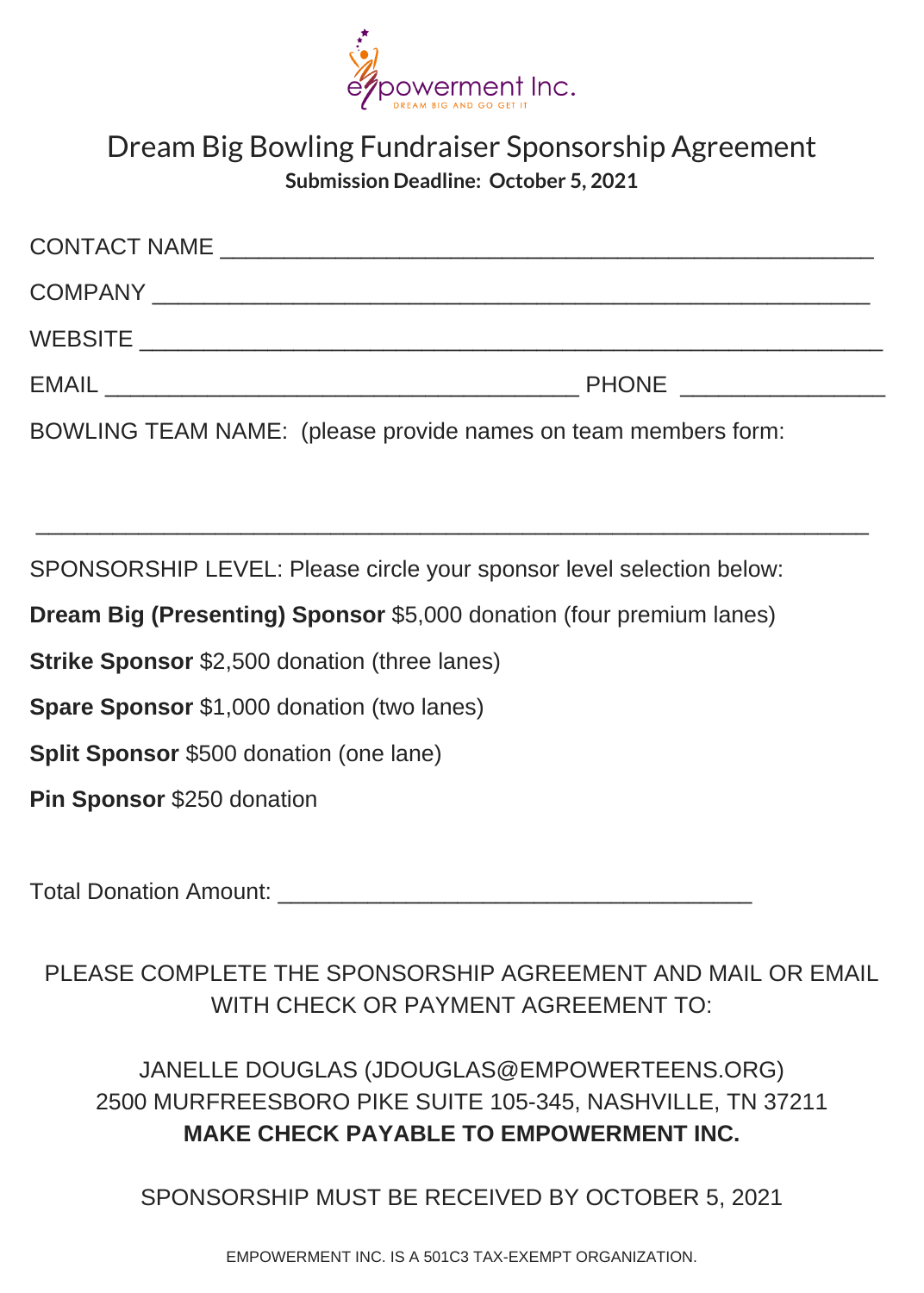

#### Dream Big Bowling Fundraiser Sponsorship Agreement **Submission Deadline: October 5, 2021**

| <b>CONTACT NAME</b> |              |
|---------------------|--------------|
| <b>COMPANY</b>      |              |
| <b>WEBSITE</b>      |              |
| <b>EMAIL</b>        | <b>PHONE</b> |

BOWLING TEAM NAME: (please provide names on team members form:

SPONSORSHIP LEVEL: Please circle your sponsor level selection below:

**Dream Big (Presenting) Sponsor** \$5,000 donation (four premium lanes)

**Strike Sponsor** \$2,500 donation (three lanes)

**Spare Sponsor** \$1,000 donation (two lanes)

**Split Sponsor** \$500 donation (one lane)

**Pin Sponsor** \$250 donation

Total Donation Amount:

PLEASE COMPLETE THE SPONSORSHIP AGREEMENT AND MAIL OR EMAIL WITH CHECK OR PAYMENT AGREEMENT TO:

JANELLE DOUGLAS (JDOUGLAS@EMPOWERTEENS.ORG) 2500 MURFREESBORO PIKE SUITE 105-345, NASHVILLE, TN 37211 **MAKE CHECK PAYABLE TO EMPOWERMENT INC.**

SPONSORSHIP MUST BE RECEIVED BY OCTOBER 5, 2021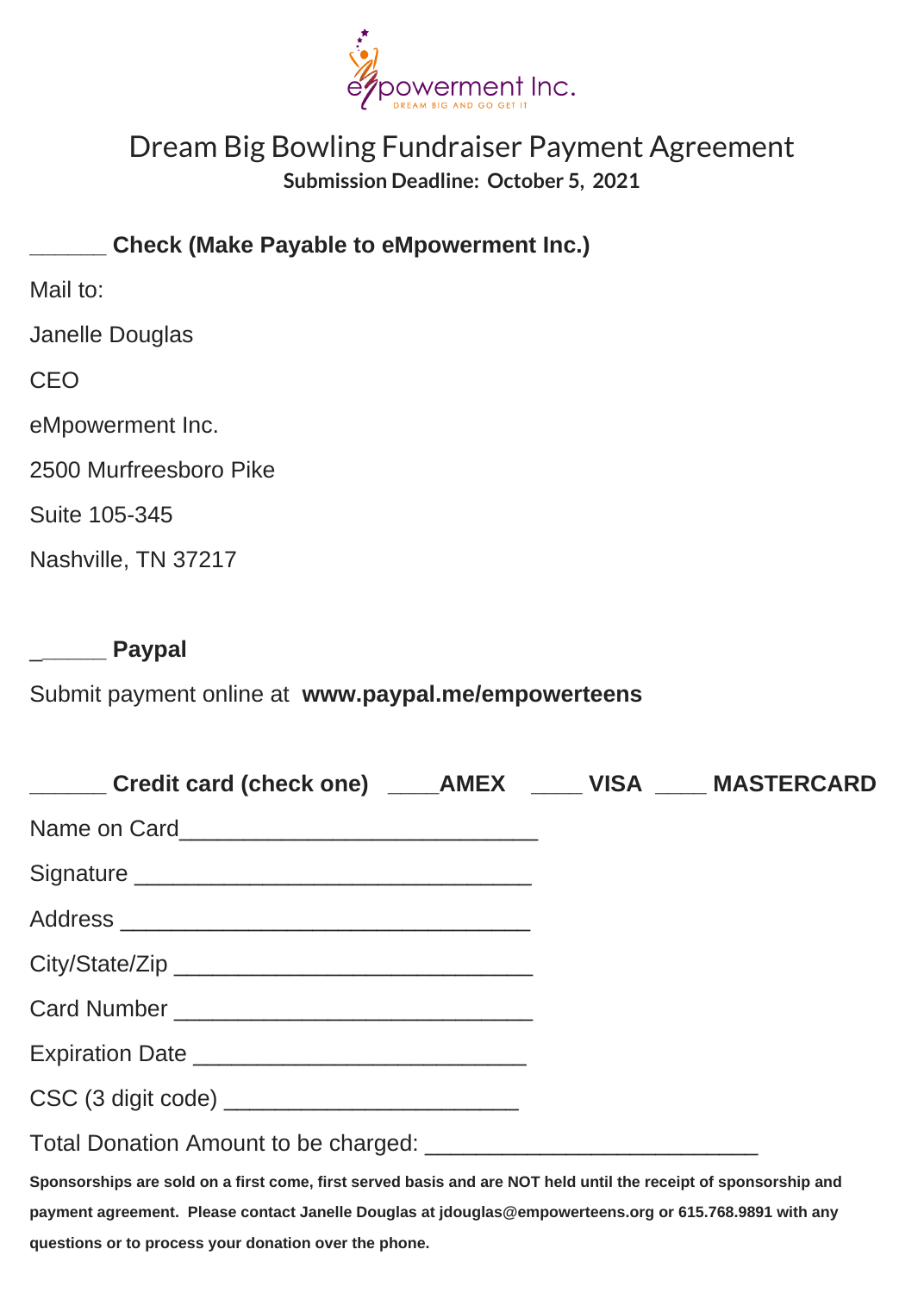

#### Dream Big Bowling Fundraiser Payment Agreement **Submission Deadline: October 5, 2021**

**\_\_\_\_\_\_ Check (Make Payable to eMpowerment Inc.)**

Mail to:

Janelle Douglas

CEO

eMpowerment Inc.

2500 Murfreesboro Pike

Suite 105-345

Nashville, TN 37217

\_**\_\_\_\_\_ Paypal**

Submit payment online at **www.paypal.me/empowerteens**

| Credit card (check one) ______ AMEX ______ VISA _____ MASTERCARD                                                |  |
|-----------------------------------------------------------------------------------------------------------------|--|
|                                                                                                                 |  |
|                                                                                                                 |  |
|                                                                                                                 |  |
|                                                                                                                 |  |
|                                                                                                                 |  |
|                                                                                                                 |  |
| CSC (3 digit code)                                                                                              |  |
|                                                                                                                 |  |
| Sponsorships are sold on a first come, first served basis and are NOT held until the receipt of sponsorship and |  |
| payment agreement. Please contact Janelle Douglas at jdouglas@empowerteens.org or 615.768.9891 with any         |  |
| questions or to process your donation over the phone.                                                           |  |